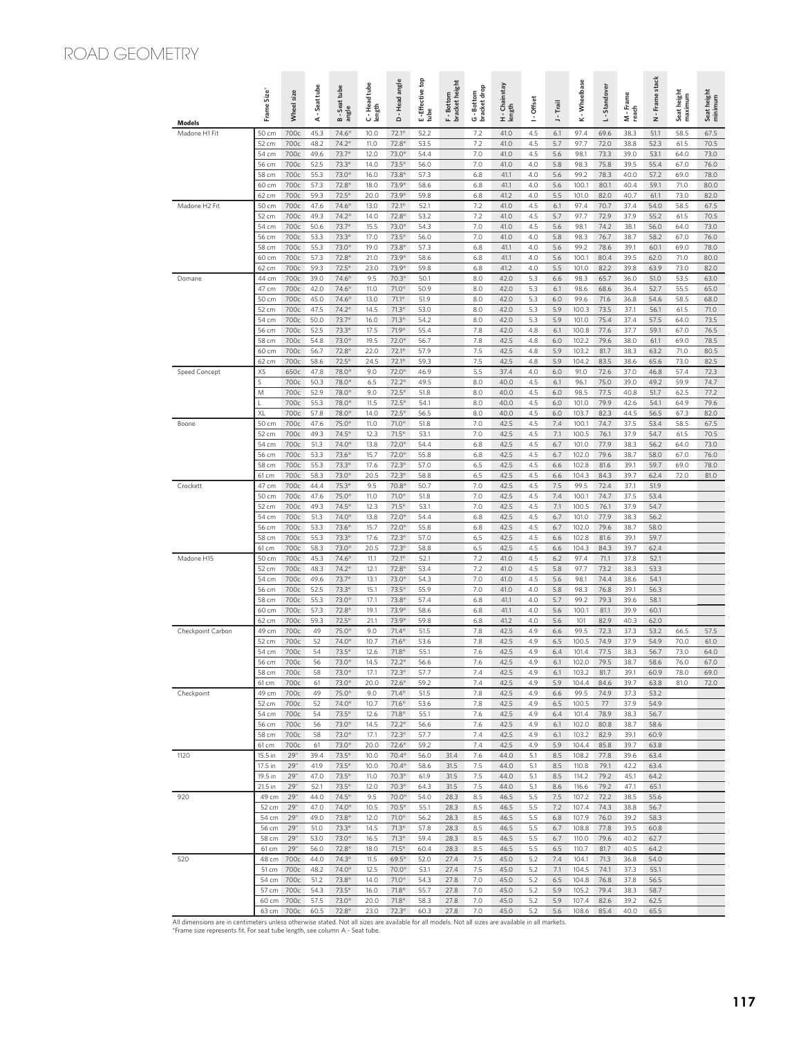## ROAD GEOMETRY

| <b>Models</b>     | Frame Size       | Wheel size   | A - Seattube | B-Seattube<br>angle          | C - Head tube<br>length | Head angle<br>$\dot{\Delta}$   | E-Effective top<br>tube | <b>bracket</b> height<br>F - Bottom | G - Bottom<br>bracket drop | H - Chainstay<br>length | I - Offset | J - Trail  | K - Wheelbase  | L-Standover  | M - Frame<br>reach | Frame stack<br>ż | Seat height<br>maximum | Seat height<br>minimum |
|-------------------|------------------|--------------|--------------|------------------------------|-------------------------|--------------------------------|-------------------------|-------------------------------------|----------------------------|-------------------------|------------|------------|----------------|--------------|--------------------|------------------|------------------------|------------------------|
| Madone H1 Fit     | 50 cm            | 700c         | 45.3         | $74.6^\circ$                 | 10.0                    | 72.1°                          | 52.2                    |                                     | 7.2                        | 41.0                    | 4.5        | 6.1        | 97.4           | 69.6         | 38.3               | 51.1             | 58.5                   | 67.5                   |
|                   | 52 cm            | 700c         | 48.2         | $74.2^{\circ}$               | 11.0                    | 72.8°                          | 53.5                    |                                     | 7.2                        | 41.0                    | 4.5        | 5.7        | 97.7           | 72.0         | 38.8               | 52.3             | 61.5                   | 70.5                   |
|                   | 54 cm<br>56 cm   | 700c<br>700c | 49.6<br>52.5 | 73.7°<br>73.3°               | 12.0<br>14.0            | $73.0^\circ$<br>73.5°          | 54.4<br>56.0            |                                     | 7.0<br>7.0                 | 41.0<br>41.0            | 4.5<br>4.0 | 5.6<br>5.8 | 98.1<br>98.3   | 73.3<br>75.8 | 39.0<br>39.5       | 53.1<br>55.4     | 64.0<br>67.0           | 73.0<br>76.0           |
|                   | 58 cm            | 700c         | 55.3         | $73.0^\circ$                 | 16.0                    | 73.8°                          | 57.3                    |                                     | 6.8                        | 41.1                    | 4.0        | 5.6        | 99.2           | 78.3         | 40.0               | 57.2             | 69.0                   | 78.0                   |
|                   | 60 cm            | 700c         | 57.3         | $72.8^\circ$                 | 18.0                    | 73.9°                          | 58.6                    |                                     | 6.8                        | 41.1                    | 4.0        | 5.6        | 100.1          | 80.1         | 40.4               | 59.1             | 71.0                   | 80.0                   |
|                   | 62 cm            | 700c         | 59.3         | $72.5^\circ$                 | 20.0                    | 73.9°                          | 59.8                    |                                     | 6.8                        | 41.2                    | 4.0        | 5.5        | 101.0          | 82.0         | 40.7               | 61.1             | 73.0                   | 82.0                   |
| Madone H2 Fit     | 50 cm<br>52 cm   | 700c<br>700c | 47.6<br>49.3 | 74.6°<br>$74.2^\circ$        | 13.0<br>14.0            | 72.1°<br>72.8°                 | 52.1<br>53.2            |                                     | 7.2<br>7.2                 | 41.0<br>41.0            | 4.5<br>4.5 | 6.1<br>5.7 | 97.4<br>97.7   | 70.7<br>72.9 | 37.4<br>37.9       | 54.0<br>55.2     | 58.5<br>61.5           | 67.5<br>70.5           |
|                   | 54 cm            | 700c         | 50.6         | 73.7°                        | 15.5                    | $73.0^\circ$                   | 54.3                    |                                     | 7.0                        | 41.0                    | 4.5        | 5.6        | 98.1           | 74.2         | 38.1               | 56.0             | 64.0                   | 73.0                   |
|                   | 56 cm            | 700c         | 53.3         | 73.3°                        | 17.0                    | 73.5°                          | 56.0                    |                                     | 7.0                        | 41.0                    | 4.0        | 5.8        | 98.3           | 76.7         | 38.7               | 58.2             | 67.0                   | 76.0                   |
|                   | 58 cm            | 700c         | 55.3         | 73.0°                        | 19.0                    | 73.8°                          | 57.3                    |                                     | 6.8                        | 41.1                    | 4.0        | 5.6        | 99.2           | 78.6         | 39.1               | 60.1             | 69.0                   | 78.0                   |
|                   | 60 cm<br>62 cm   | 700c<br>700c | 57.3<br>59.3 | 72.8°<br>$72.5^\circ$        | 21.0<br>23.0            | 73.9°<br>73.9°                 | 58.6<br>59.8            |                                     | 6.8<br>6.8                 | 41.1<br>41.2            | 4.0<br>4.0 | 5.6<br>5.5 | 100.1<br>101.0 | 80.4<br>82.2 | 39.5<br>39.8       | 62.0<br>63.9     | 71.0<br>73.0           | 80.0<br>82.0           |
| Domane            | 44 cm            | 700c         | 39.0         | $74.6^\circ$                 | 9.5                     | 70.3°                          | 50.1                    |                                     | 8.0                        | 42.0                    | 5.3        | 6.6        | 98.3           | 65.7         | 36.0               | 51.0             | 53.5                   | 63.0                   |
|                   | 47 cm            | 700c         | 42.0         | $74.6^\circ$                 | 11.0                    | 71.0°                          | 50.9                    |                                     | 8.0                        | 42.0                    | 5.3        | 6.1        | 98.6           | 68.6         | 36.4               | 52.7             | 55.5                   | 65.0                   |
|                   | 50 cm            | 700c         | 45.0         | $74.6^\circ$<br>$74.2^\circ$ | 13.0                    | 71.1°                          | 51.9                    |                                     | 8.0                        | 42.0                    | 5.3        | 6.0        | 99.6           | 71.6         | 36.8               | 54.6             | 58.5                   | 68.0                   |
|                   | 52 cm<br>54 cm   | 700c<br>700c | 47.5<br>50.0 | 73.7°                        | 14.5<br>16.0            | $71.3^\circ$<br>$71.3^\circ$   | 53.0<br>54.2            |                                     | 8.0<br>8.0                 | 42.0<br>42.0            | 5.3<br>5.3 | 5.9<br>5.9 | 100.3<br>101.0 | 73.5<br>75.4 | 37.1<br>37.4       | 56.1<br>57.5     | 61.5<br>64.0           | 71.0<br>73.5           |
|                   | 56 cm            | 700c         | 52.5         | 73.3°                        | 17.5                    | 71.9°                          | 55.4                    |                                     | 7.8                        | 42.0                    | 4.8        | 6.1        | 100.8          | 77.6         | 37.7               | 59.1             | 67.0                   | 76.5                   |
|                   | 58 cm            | 700c         | 54.8         | $73.0^\circ$                 | 19.5                    | 72.0°                          | 56.7                    |                                     | 7.8                        | 42.5                    | 4.8        | 6.0        | 102.2          | 79.6         | 38.0               | 61.1             | 69.0                   | 78.5                   |
|                   | 60 cm<br>62 cm   | 700c<br>700c | 56.7<br>58.6 | 72.8°<br>$72.5^\circ$        | 22.0<br>24.5            | 72.1°<br>72.1°                 | 57.9<br>59.3            |                                     | 7.5<br>7.5                 | 42.5<br>42.5            | 4.8<br>4.8 | 5.9<br>5.9 | 103.2<br>104.2 | 81.7<br>83.5 | 38.3<br>38.6       | 63.2<br>65.6     | 71.0<br>73.0           | 80.5<br>82.5           |
| Speed Concept     | XS               | 650c         | 47.8         | 78.0°                        | 9.0                     | 72.0°                          | 46.9                    |                                     | 5.5                        | 37.4                    | 4.0        | 6.0        | 91.0           | 72.6         | 37.0               | 46.8             | 57.4                   | 72.3                   |
|                   | S                | 700c         | 50.3         | 78.0°                        | 6.5                     | 72.2°                          | 49.5                    |                                     | 8.0                        | 40.0                    | 4.5        | 6.1        | 96.1           | 75.0         | 39.0               | 49.2             | 59.9                   | 74.7                   |
|                   | M                | 700c         | 52.9         | 78.0°                        | 9.0                     | 72.5°                          | 51.8                    |                                     | 8.0                        | 40.0                    | 4.5        | 6.0        | 98.5           | 77.5         | 40.8               | 51.7             | 62.5                   | 77.2                   |
|                   | п<br>XL          | 700c<br>700c | 55.3<br>57.8 | 78.0°<br>78.0°               | 11.5<br>14.0            | $72.5^\circ$<br>$72.5^\circ$   | 54.1<br>56.5            |                                     | 8.0<br>8.0                 | 40.0<br>40.0            | 4.5<br>4.5 | 6.0<br>6.0 | 101.0<br>103.7 | 79.9<br>82.3 | 42.6<br>44.5       | 54.1<br>56.5     | 64.9<br>67.3           | 79.6<br>82.0           |
| Boone             | 50 cm            | 700c         | 47.6         | 75.0°                        | 11.0                    | $71.0^\circ$                   | 51.8                    |                                     | 7.0                        | 42.5                    | 4.5        | 7.4        | 100.1          | 74.7         | 37.5               | 53.4             | 58.5                   | 67.5                   |
|                   | 52 cm            | 700c         | 49.3         | $74.5^\circ$                 | 12.3                    | $71.5^\circ$                   | 53.1                    |                                     | 7.0                        | 42.5                    | 4.5        | 7.1        | 100.5          | 76.1         | 37.9               | 54.7             | 61.5                   | 70.5                   |
|                   | 54 cm            | 700c         | 51.3         | 74.0°                        | 13.8                    | $72.0^\circ$                   | 54.4                    |                                     | 6.8                        | 42.5                    | 4.5<br>4.5 | 6.7        | 101.0          | 77.9         | 38.3               | 56.2             | 64.0                   | 73.0                   |
|                   | 56 cm<br>58 cm   | 700c<br>700c | 53.3<br>55.3 | $73.6^\circ$<br>73.3°        | 15.7<br>17.6            | 72.0°<br>72.3°                 | 55.8<br>57.0            |                                     | 6.8<br>6.5                 | 42.5<br>42.5            | 4.5        | 6.7<br>6.6 | 102.0<br>102.8 | 79.6<br>81.6 | 38.7<br>39.1       | 58.0<br>59.7     | 67.0<br>69.0           | 76.0<br>78.0           |
|                   | 61 cm            | 700c         | 58.3         | 73.0°                        | 20.5                    | 72.3°                          | 58.8                    |                                     | 6.5                        | 42.5                    | 4.5        | 6.6        | 104.3          | 84.3         | 39.7               | 62.4             | 72.0                   | 81.0                   |
| Crockett          | 47 cm            | 700c         | 44.4         | 75.3°                        | 9.5                     | 70.8°                          | 50.7                    |                                     | 7.0                        | 42.5                    | 4.5        | 7.5        | 99.5           | 72.4         | 37.1               | 51.9             |                        |                        |
|                   | 50 cm<br>52 cm   | 700c<br>700c | 47.6<br>49.3 | 75.0°<br>$74.5^\circ$        | 11.0<br>12.3            | $71.0^\circ$<br>$71.5^\circ$   | 51.8<br>53.1            |                                     | 7.0<br>7.0                 | 42.5<br>42.5            | 4.5<br>4.5 | 7.4<br>7.1 | 100.1<br>100.5 | 74.7<br>76.1 | 37.5<br>37.9       | 53.4<br>54.7     |                        |                        |
|                   | 54 cm            | 700c         | 51.3         | 74.0°                        | 13.8                    | 72.0°                          | 54.4                    |                                     | 6.8                        | 42.5                    | 4.5        | 6.7        | 101.0          | 77.9         | 38.3               | 56.2             |                        |                        |
|                   | 56 cm            | 700c         | 53.3         | $73.6^\circ$                 | 15.7                    | 72.0°                          | 55.8                    |                                     | 6.8                        | 42.5                    | 4.5        | 6.7        | 102.0          | 79.6         | 38.7               | 58.0             |                        |                        |
|                   | 58 cm            | 700c         | 55.3         | 73.3°                        | 17.6                    | 72.3°                          | 57.0                    |                                     | 6.5                        | 42.5                    | 4.5        | 6.6        | 102.8          | 81.6         | 39.1               | 59.7             |                        |                        |
| Madone H15        | 61 cm<br>50 cm   | 700c<br>700c | 58.3<br>45.3 | $73.0^\circ$<br>$74.6^\circ$ | 20.5<br>11.1            | $72.3^\circ$<br>$72.1^{\circ}$ | 58.8<br>52.1            |                                     | 6.5<br>7.2                 | 42.5<br>41.0            | 4.5<br>4.5 | 6.6<br>6.2 | 104.3<br>97.4  | 84.3<br>71.1 | 39.7<br>37.8       | 62.4<br>52.1     |                        |                        |
|                   | 52 cm            | 700c         | 48.3         | 74.2°                        | 12.1                    | 72.8°                          | 53.4                    |                                     | 7.2                        | 41.0                    | 4.5        | 5.8        | 97.7           | 73.2         | 38.3               | 53.3             |                        |                        |
|                   | 54 cm            | 700c         | 49.6         | 73.7°                        | 13.1                    | $73.0^\circ$                   | 54.3                    |                                     | 7.0                        | 41.0                    | 4.5        | 5.6        | 98.1           | 74.4         | 38.6               | 54.1             |                        |                        |
|                   | 56 cm            | 700c<br>700c | 52.5<br>55.3 | 73.3°<br>$73.0^\circ$        | 15.1                    | 73.5°<br>73.8°                 | 55.9<br>57.4            |                                     | 7.0<br>6.8                 | 41.0<br>41.1            | 4.0<br>4.0 | 5.8<br>5.7 | 98.3<br>99.2   | 76.8<br>79.3 | 39.1<br>39.6       | 56.3<br>58.1     |                        |                        |
|                   | 58 cm<br>60 cm   | 700c         | 57.3         | 72.8°                        | 17.1<br>19.1            | 73.9°                          | 58.6                    |                                     | 6.8                        | 41.1                    | 4.0        | 5.6        | 100.1          | 81.1         | 39.9               | 60.1             |                        |                        |
|                   | 62 cm            | 700c         | 59.3         | $72.5^\circ$                 | 21.1                    | 73.9°                          | 59.8                    |                                     | 6.8                        | 41.2                    | 4.0        | 5.6        | 101            | 82.9         | 40.3               | 62.0             |                        |                        |
| Checkpoint Carbon | 49 cm            | 700c         | 49           | 75.0°                        | 9.0                     | $71.4^{\circ}$                 | 51.5                    |                                     | 7.8                        | 42.5                    | 4.9        | 6.6        | 99.5           | 72.3         | 37.3               | 53.2             | 66.5                   | 57.5                   |
|                   | 52 cm<br>54 cm   | 700c<br>700c | 52<br>54     | 74.0°<br>73.5°               | 10.7<br>12.6            | $71.6^\circ$<br>$71.8^\circ$   | 53.6<br>55.1            |                                     | 7.8<br>7.6                 | 42.5<br>42.5            | 4.9<br>4.9 | 6.5<br>6.4 | 100.5<br>101.4 | 74.9<br>77.5 | 37.9<br>38.3       | 54.9<br>56.7     | 70.0<br>73.0           | 61.0<br>64.0           |
|                   | 56 cm            | 700c         | 56           | $73.0^\circ$                 | 14.5                    | $72.2^\circ$                   | 56.6                    |                                     | 7.6                        | 42.5                    | 4.9        | 6.1        | 102.0          | 79.5         | 38.7               | 58.6             | 76.0                   | 67.0                   |
|                   | 58 cm 700c       |              | 58           | $73.0^\circ$                 | 17.1                    | 72.3°                          | 57.7                    |                                     | 7.4                        | 42.5                    | 4.9        | 6.1        | 103.2          | 81.7         | 39.1               | 60.9             | 78.0                   | 69.0                   |
|                   | 61 cm            | 700c         | 61           | 73.0°                        | 20.0                    | $72.6^\circ$                   | 59.2                    |                                     | 7.4                        | 42.5                    | 4.9        | 5.9        | 104.4          | 84.6         | 39.7               | 63.8             | 81.0                   | 72.0                   |
| Checkpoint        | 49 cm<br>52 cm   | 700c<br>700c | 49<br>52     | 75.0°<br>74.0°               | 9.0<br>10.7             | $71.4^\circ$<br>$71.6^\circ$   | 51.5<br>53.6            |                                     | 7.8<br>7.8                 | 42.5<br>42.5            | 4.9<br>4.9 | 6.6<br>6.5 | 99.5<br>100.5  | 74.9<br>77   | 37.3<br>37.9       | 53.2<br>54.9     |                        |                        |
|                   | 54 cm            | 700c         | 54           | $73.5^\circ$                 | 12.6                    | $71.8^\circ$                   | 55.1                    |                                     | 7.6                        | 42.5                    | 4.9        | 6.4        | 101.4          | 78.9         | 38.3               | 56.7             |                        |                        |
|                   | 56 cm            | 700c         | 56           | 73.0°                        | 14.5                    | $72.2^\circ$                   | 56.6                    |                                     | 7.6                        | 42.5                    | 4.9        | 6.1        | 102.0          | 80.8         | 38.7               | 58.6             |                        |                        |
|                   | 58 cm            | 700c         | 58           | 73.0°                        | 17.1                    | 72.3°                          | 57.7                    |                                     | 7.4                        | 42.5                    | 4.9        | 6.1        | 103.2          | 82.9         | 39.1               | 60.9             |                        |                        |
| 1120              | 61 cm<br>15.5 in | 700c<br>29"  | 61<br>39.4   | 73.0°<br>73.5°               | 20.0<br>10.0            | $72.6^\circ$<br>70.4°          | 59.2<br>56.0            | 31.4                                | 7.4<br>7.6                 | 42.5<br>44.0            | 4.9<br>5.1 | 5.9<br>8.5 | 104.4<br>108.2 | 85.8<br>77.8 | 39.7<br>39.6       | 63.8<br>63.4     |                        |                        |
|                   | 17.5 in          | 29"          | 41.9         | 73.5°                        | 10.0                    | 70.4°                          | 58.6                    | 31.5                                | 7.5                        | 44.0                    | 5.1        | 8.5        | 110.8          | 79.1         | 42.2               | 63.4             |                        |                        |
|                   | 19.5 in          | 29"          | 47.0         | $73.5^\circ$                 | 11.0                    | 70.3°                          | 61.9                    | 31.5                                | 7.5                        | 44.0                    | 5.1        | 8.5        | 114.2          | 79.2         | 45.1               | 64.2             |                        |                        |
|                   | 21.5 in          | 29"          | 52.1         | 73.5°                        | 12.0                    | 70.3°                          | 64.3                    | 31.5                                | 7.5                        | 44.0                    | 5.1        | 8.6        | 116.6          | 79.2         | 47.1               | 65.1             |                        |                        |
| 920               | 49 cm<br>52 cm   | 29"<br>29"   | 44.0<br>47.0 | 74.5°<br>$74.0^\circ$        | 9.5<br>10.5             | 70.0°<br>70.5°                 | 54.0<br>55.1            | 28.3<br>28.3                        | 8.5<br>8.5                 | 46.5<br>46.5            | 5.5<br>5.5 | 7.5<br>7.2 | 107.2<br>107.4 | 72.2<br>74.3 | 38.5<br>38.8       | 55.6<br>56.7     |                        |                        |
|                   | 54 cm            | 29"          | 49.0         | 73.8°                        | 12.0                    | 71.0°                          | 56.2                    | 28.3                                | 8.5                        | 46.5                    | 5.5        | $6.8$      | 107.9          | 76.0         | 39.2               | 58.3             |                        |                        |
|                   | 56 cm            | 29"          | 51.0         | 73.3°                        | 14.5                    | $71.3^\circ$                   | 57.8                    | 28.3                                | 8.5                        | 46.5                    | 5.5        | 6.7        | 108.8          | 77.8         | 39.5               | 60.8             |                        |                        |
|                   | 58 cm<br>61 cm   | 29"<br>29"   | 53.0<br>56.0 | 73.0°<br>72.8°               | 16.5<br>18.0            | $71.3^\circ$<br>$71.5^\circ$   | 59.4<br>60.4            | 28.3<br>28.3                        | 8.5<br>8.5                 | 46.5<br>46.5            | 5.5<br>5.5 | 6.7<br>6.5 | 110.0<br>110.7 | 79.6<br>81.7 | 40.2<br>40.5       | 62.7<br>64.2     |                        |                        |
| 520               | 48 cm            | 700c         | 44.0         | $74.3^\circ$                 | 11.5                    | $69.5^\circ$                   | 52.0                    | 27.4                                | 7.5                        | 45.0                    | 5.2        | 7.4        | 104.1          | 71.3         | 36.8               | 54.0             |                        |                        |
|                   | 51 cm            | 700c         | 48.2         | $74.0^\circ$                 | 12.5                    | 70.0°                          | 53.1                    | 27.4                                | 7.5                        | 45.0                    | 5.2        | 7.1        | 104.5          | 74.1         | 37.3               | 55.1             |                        |                        |
|                   | 54 cm 700c       |              | 51.2         | 73.8°                        | 14.0                    | 71.0°                          | 54.3                    | 27.8                                | 7.0                        | 45.0                    | 5.2        | 6.5        | 104.8          | 76.8         | 37.8               | 56.5             |                        |                        |
|                   | 57 cm<br>60 cm   | 700c<br>700c | 54.3<br>57.5 | 73.5°<br>73.0°               | 16.0<br>20.0            | $71.8^\circ$<br>$71.8^\circ$   | 55.7<br>58.3            | 27.8<br>27.8                        | 7.0<br>7.0                 | 45.0<br>45.0            | 5.2<br>5.2 | 5.9<br>5.9 | 105.2<br>107.4 | 79.4<br>82.6 | 38.3<br>39.2       | 58.7<br>62.5     |                        |                        |
|                   | 63 cm            | 700c         | 60.5         | 72.8°                        | 23.0                    | $72.3^\circ$                   | 60.3                    | 27.8                                | 7.0                        | 45.0                    | 5.2        | 5.6        | 108.6          | 85.4         | 40.0               | 65.5             |                        |                        |

All dimensions are in centimeters unless otherwise stated. Not all sizes are available for all models. Not all sizes are available in all markets. \*Frame size represents fit. For seat tube length, see column A - Seat tube.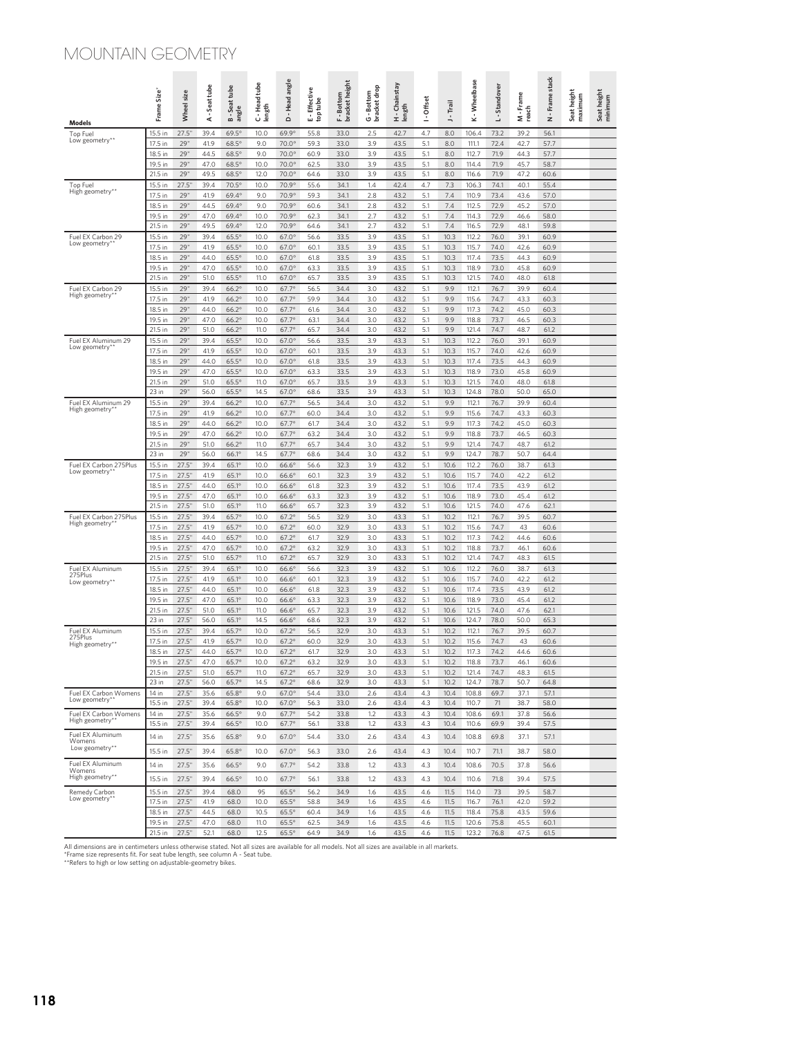## MOUNTAIN GEOMETRY

| Models                                   | $Size^*$<br>Frame: | Wheel size     | -Seat tube<br>⋖ | <b>B-Seattube</b><br>angle   | C-Head tube<br>length | Head angle<br>$\blacksquare$<br>$\Omega$ | <b>Effective</b><br>E - Effecti<br>top tube | bracket height<br>F - Bottom | G - Bottom<br>bracket drop | H - Chainstay<br>Iength | I - Offset | J - Trail    | K-Wheelbase    | L-Standover  | Frame<br>M - Fr<br>reach | N - Frame stack | Seat height<br>maximum | Seat height<br>minimum |
|------------------------------------------|--------------------|----------------|-----------------|------------------------------|-----------------------|------------------------------------------|---------------------------------------------|------------------------------|----------------------------|-------------------------|------------|--------------|----------------|--------------|--------------------------|-----------------|------------------------|------------------------|
| Top Fuel                                 | 15.5 in            | 27.5'          | 39.4            | $69.5^\circ$                 | 10.0                  | 69.9°                                    | 55.8                                        | 33.0                         | 2.5                        | 42.7                    | 4.7        | 8.0          | 106.4          | 73.2         | 39.2                     | 56.1            |                        |                        |
| Low geometry**                           | 17.5 in            | 29'            | 41.9            | $68.5^\circ$                 | 9.0                   | 70.0°                                    | 59.3                                        | 33.0                         | 3.9                        | 43.5                    | 5.1        | 8.0          | 111.1          | 72.4         | 42.7                     | 57.7            |                        |                        |
|                                          | 18.5 in            | 29'            | 44.5            | $68.5^\circ$                 | 9.0                   | 70.0°                                    | 60.9                                        | 33.0                         | 3.9                        | 43.5                    | 5.1        | 8.0          | 112.7          | 71.9         | 44.3                     | 57.7            |                        |                        |
|                                          | 19.5 in            | 29"            | 47.0            | $68.5^\circ$                 | 10.0                  | 70.0°                                    | 62.5                                        | 33.0                         | 3.9                        | 43.5                    | 5.1        | 8.0          | 114.4          | 71.9         | 45.7                     | 58.7            |                        |                        |
| Top Fuel                                 | 21.5 in<br>15.5 in | 29'<br>27.5'   | 49.5<br>39.4    | $68.5^\circ$<br>70.5°        | 12.0<br>10.0          | 70.0°<br>70.9°                           | 64.6<br>55.6                                | 33.0<br>34.1                 | 3.9<br>1.4                 | 43.5<br>42.4            | 5.1<br>4.7 | 8.0<br>7.3   | 116.6<br>106.3 | 71.9<br>74.1 | 47.2<br>40.1             | 60.6<br>55.4    |                        |                        |
| High geometry**                          | 17.5 in            | 29"            | 41.9            | 69.4°                        | 9.0                   | 70.9°                                    | 59.3                                        | 34.1                         | 2.8                        | 43.2                    | 5.1        | 7.4          | 110.9          | 73.4         | 43.6                     | 57.0            |                        |                        |
|                                          | 18.5 in            | 29'            | 44.5            | 69.4°                        | 9.0                   | 70.9°                                    | 60.6                                        | 34.1                         | 2.8                        | 43.2                    | 5.1        | 7.4          | 112.5          | 72.9         | 45.2                     | 57.0            |                        |                        |
|                                          | 19.5 in            | 29'            | 47.0            | 69.4°                        | 10.0                  | 70.9°                                    | 62.3                                        | 34.1                         | 2.7                        | 43.2                    | 5.1        | 7.4          | 114.3          | 72.9         | 46.6                     | 58.0            |                        |                        |
|                                          | 21.5 in            | 29'            | 49.5            | 69.4°                        | 12.0                  | 70.9°                                    | 64.6                                        | 34.1                         | 2.7                        | 43.2                    | 5.1        | 7.4          | 116.5          | 72.9         | 48.1                     | 59.8            |                        |                        |
| Fuel EX Carbon 29<br>Low geometry*       | 15.5 in<br>17.5 in | 29'<br>29'     | 39.4<br>41.9    | $65.5^\circ$<br>$65.5^\circ$ | 10.0<br>10.0          | $67.0^\circ$<br>$67.0^\circ$             | 56.6<br>60.1                                | 33.5<br>33.5                 | 3.9<br>3.9                 | 43.5<br>43.5            | 5.1<br>5.1 | 10.3<br>10.3 | 112.2<br>115.7 | 76.0<br>74.0 | 39.1<br>42.6             | 60.9<br>60.9    |                        |                        |
|                                          | 18.5 in            | 29'            | 44.0            | $65.5^\circ$                 | 10.0                  | $67.0^\circ$                             | 61.8                                        | 33.5                         | 3.9                        | 43.5                    | 5.1        | 10.3         | 117.4          | 73.5         | 44.3                     | 60.9            |                        |                        |
|                                          | 19.5 in            | 29"            | 47.0            | $65.5^\circ$                 | 10.0                  | $67.0^\circ$                             | 63.3                                        | 33.5                         | 3.9                        | 43.5                    | 5.1        | 10.3         | 118.9          | 73.0         | 45.8                     | 60.9            |                        |                        |
|                                          | 21.5 in            | 29'            | 51.0            | $65.5^\circ$                 | 11.0                  | $67.0^\circ$                             | 65.7                                        | 33.5                         | 3.9                        | 43.5                    | 5.1        | 10.3         | 121.5          | 74.0         | 48.0                     | 61.8            |                        |                        |
| Fuel EX Carbon 29                        | 15.5 in            | 29'            | 39.4            | $66.2^\circ$                 | 10.0                  | $67.7^{\circ}$                           | 56.5                                        | 34.4                         | 3.0                        | 43.2                    | 5.1        | 9.9          | 112.1          | 76.7         | 39.9                     | 60.4            |                        |                        |
| High geometry*                           | 17.5 in            | 29'            | 41.9            | $66.2^\circ$                 | 10.0                  | $67.7^{\circ}$                           | 59.9                                        | 34.4                         | 3.0                        | 43.2                    | 5.1        | 9.9          | 115.6          | 74.7         | 43.3                     | 60.3            |                        |                        |
|                                          | 18.5 in<br>19.5 in | 29'<br>29'     | 44.0<br>47.0    | $66.2^\circ$<br>$66.2^\circ$ | 10.0<br>10.0          | $67.7^{\circ}$<br>$67.7^{\circ}$         | 61.6<br>63.1                                | 34.4<br>34.4                 | 3.0<br>3.0                 | 43.2<br>43.2            | 5.1<br>5.1 | 9.9<br>9.9   | 117.3<br>118.8 | 74.2<br>73.7 | 45.0<br>46.5             | 60.3<br>60.3    |                        |                        |
|                                          | 21.5 in            | 29'            | 51.0            | $66.2^\circ$                 | 11.0                  | $67.7^{\circ}$                           | 65.7                                        | 34.4                         | 3.0                        | 43.2                    | 5.1        | 9.9          | 121.4          | 74.7         | 48.7                     | 61.2            |                        |                        |
| Fuel EX Aluminum 29                      | 15.5 in            | 29'            | 39.4            | $65.5^\circ$                 | 10.0                  | $67.0^\circ$                             | 56.6                                        | 33.5                         | 3.9                        | 43.3                    | 5.1        | 10.3         | 112.2          | 76.0         | 39.1                     | 60.9            |                        |                        |
| Low geometry*                            | 17.5 in            | 29'            | 41.9            | $65.5^\circ$                 | 10.0                  | $67.0^\circ$                             | 60.1                                        | 33.5                         | 3.9                        | 43.3                    | 5.1        | 10.3         | 115.7          | 74.0         | 42.6                     | 60.9            |                        |                        |
|                                          | 18.5 in            | 29'            | 44.0            | $65.5^\circ$                 | 10.0                  | $67.0^\circ$                             | 61.8                                        | 33.5                         | 3.9                        | 43.3                    | 5.1        | 10.3         | 117.4          | 73.5         | 44.3                     | 60.9            |                        |                        |
|                                          | 19.5 in            | 29"            | 47.0            | $65.5^\circ$                 | 10.0                  | $67.0^\circ$                             | 63.3                                        | 33.5                         | 3.9                        | 43.3                    | 5.1        | 10.3         | 118.9          | 73.0         | 45.8                     | 60.9            |                        |                        |
|                                          | 21.5 in<br>$23$ in | 29'<br>29'     | 51.0            | $65.5^\circ$<br>$65.5^\circ$ | 11.0<br>14.5          | $67.0^\circ$                             | 65.7                                        | 33.5                         | 3.9<br>3.9                 | 43.3                    | 5.1        | 10.3         | 121.5          | 74.0         | 48.0                     | 61.8            |                        |                        |
| Fuel EX Aluminum 29                      | 15.5 in            | 29'            | 56.0<br>39.4    | $66.2^\circ$                 | 10.0                  | $67.0^\circ$<br>$67.7^{\circ}$           | 68.6<br>56.5                                | 33.5<br>34.4                 | 3.0                        | 43.3<br>43.2            | 5.1<br>5.1 | 10.3<br>9.9  | 124.8<br>112.1 | 78.0<br>76.7 | 50.0<br>39.9             | 65.0<br>60.4    |                        |                        |
| High geometry*                           | 17.5 in            | 29"            | 41.9            | $66.2^\circ$                 | 10.0                  | $67.7^{\circ}$                           | 60.0                                        | 34.4                         | 3.0                        | 43.2                    | 5.1        | 9.9          | 115.6          | 74.7         | 43.3                     | 60.3            |                        |                        |
|                                          | 18.5 in            | 29'            | 44.0            | $66.2^\circ$                 | 10.0                  | $67.7^{\circ}$                           | 61.7                                        | 34.4                         | 3.0                        | 43.2                    | 5.1        | 9.9          | 117.3          | 74.2         | 45.0                     | 60.3            |                        |                        |
|                                          | 19.5 in            | 29'            | 47.0            | $66.2^\circ$                 | 10.0                  | 67.7°                                    | 63.2                                        | 34.4                         | 3.0                        | 43.2                    | 5.1        | 9.9          | 118.8          | 73.7         | 46.5                     | 60.3            |                        |                        |
|                                          | 21.5 in            | 29'            | 51.0            | $66.2^\circ$                 | 11.0                  | 67.7°                                    | 65.7                                        | 34.4                         | 3.0                        | 43.2                    | 5.1        | 9.9          | 121.4          | 74.7         | 48.7                     | 61.2            |                        |                        |
|                                          | 23 in              | 29'            | 56.0            | 66.1°                        | 14.5                  | $67.7^{\circ}$                           | 68.6                                        | 34.4                         | 3.0                        | 43.2                    | 5.1        | 9.9          | 124.7          | 78.7         | 50.7                     | 64.4            |                        |                        |
| Fuel EX Carbon 275Plus<br>Low geometry*  | 15.5 in<br>17.5 in | 27.5"<br>27.5" | 39.4<br>41.9    | 65.1°<br>65.1°               | 10.0<br>10.0          | $66.6^\circ$<br>$66.6^\circ$             | 56.6<br>60.1                                | 32.3<br>32.3                 | 3.9<br>3.9                 | 43.2<br>43.2            | 5.1<br>5.1 | 10.6<br>10.6 | 112.2<br>115.7 | 76.0<br>74.0 | 38.7<br>42.2             | 61.3<br>61.2    |                        |                        |
|                                          | 18.5 in            | 27.5'          | 44.0            | 65.1°                        | 10.0                  | $66.6^\circ$                             | 61.8                                        | 32.3                         | 3.9                        | 43.2                    | 5.1        | 10.6         | 117.4          | 73.5         | 43.9                     | 61.2            |                        |                        |
|                                          | 19.5 in            | 27.5'          | 47.0            | $65.1^\circ$                 | 10.0                  | $66.6^\circ$                             | 63.3                                        | 32.3                         | 3.9                        | 43.2                    | 5.1        | 10.6         | 118.9          | 73.0         | 45.4                     | 61.2            |                        |                        |
|                                          | 21.5 in            | 27.5"          | 51.0            | 65.1°                        | 11.0                  | $66.6^\circ$                             | 65.7                                        | 32.3                         | 3.9                        | 43.2                    | 5.1        | 10.6         | 121.5          | 74.0         | 47.6                     | 62.1            |                        |                        |
| Fuel EX Carbon 275Plus<br>High geometry* | 15.5 in            | 27.5"          | 39.4            | 65.7°                        | 10.0                  | $67.2^{\circ}$                           | 56.5                                        | 32.9                         | 3.0                        | 43.3                    | 5.1        | 10.2         | 112.1          | 76.7         | 39.5                     | 60.7            |                        |                        |
|                                          | 17.5 in            | 27.5"          | 41.9            | 65.7°                        | 10.0                  | $67.2^{\circ}$                           | 60.0                                        | 32.9                         | 3.0                        | 43.3                    | 5.1        | 10.2         | 115.6          | 74.7         | 43                       | 60.6            |                        |                        |
|                                          | 18.5 in<br>19.5 in | 27.5'<br>27.5" | 44.0<br>47.0    | 65.7°<br>65.7°               | 10.0<br>10.0          | $67.2^\circ$<br>$67.2^\circ$             | 61.7<br>63.2                                | 32.9<br>32.9                 | 3.0<br>3.0                 | 43.3<br>43.3            | 5.1<br>5.1 | 10.2<br>10.2 | 117.3<br>118.8 | 74.2<br>73.7 | 44.6<br>46.1             | 60.6<br>60.6    |                        |                        |
|                                          | 21.5 in            | 27.5'          | 51.0            | 65.7°                        | 11.0                  | $67.2^\circ$                             | 65.7                                        | 32.9                         | 3.0                        | 43.3                    | 5.1        | 10.2         | 121.4          | 74.7         | 48.3                     | 61.5            |                        |                        |
| Fuel EX Aluminum                         | 15.5 in            | 27.5"          | 39.4            | 65.1°                        | 10.0                  | $66.6^\circ$                             | 56.6                                        | 32.3                         | 3.9                        | 43.2                    | 5.1        | 10.6         | 112.2          | 76.0         | 38.7                     | 61.3            |                        |                        |
| 275Plus<br>Low geometry**                | 17.5 in            | 27.5"          | 41.9            | 65.1°                        | 10.0                  | $66.6^\circ$                             | 60.1                                        | 32.3                         | 3.9                        | 43.2                    | 5.1        | 10.6         | 115.7          | 74.0         | 42.2                     | 61.2            |                        |                        |
|                                          | 18.5 in            | 27.5'          | 44.0            | 65.1°                        | 10.0                  | $66.6^\circ$                             | 61.8                                        | 32.3                         | 3.9                        | 43.2                    | 5.1        | 10.6         | 117.4          | 73.5         | 43.9                     | 61.2            |                        |                        |
|                                          | 19.5 in<br>21.5 in | 27.5"<br>27.5" | 47.0<br>51.0    | $65.1^\circ$<br>65.1°        | 10.0<br>11.0          | $66.6^\circ$<br>$66.6^\circ$             | 63.3<br>65.7                                | 32.3<br>32.3                 | 3.9<br>3.9                 | 43.2<br>43.2            | 5.1<br>5.1 | 10.6<br>10.6 | 118.9<br>121.5 | 73.0<br>74.0 | 45.4<br>47.6             | 61.2<br>62.1    |                        |                        |
|                                          | 23 in              | 27.5"          | 56.0            | $65.1^\circ$                 | 14.5                  | $66.6^\circ$                             | 68.6                                        | 32.3                         | 3.9                        | 43.2                    | 5.1        | 10.6         | 124.7          | 78.0         | 50.0                     | 65.3            |                        |                        |
| Fuel EX Aluminum                         | 15.5 in            | 27.5'          | 39.4            | 65.7°                        | 10.0                  | $67.2^\circ$                             | 56.5                                        | 32.9                         | 3.0                        | 43.3                    | 5.1        | 10.2         | 112.1          | 76.7         | 39.5                     | 60.7            |                        |                        |
| 275Plus<br>High geometry**               | 17.5 in            | 27.5'          | 41.9            | 65.7°                        | 10.0                  | $67.2^{\circ}$                           | 60.0                                        | 32.9                         | 3.0                        | 43.3                    | 5.1        | 10.2         | 115.6          | 74.7         | 43                       | 60.6            |                        |                        |
|                                          | 18.5 in            | 27.5"          | 44.0            | 65.7°                        | 10.0                  | $67.2^\circ$                             | 61.7                                        | 32.9                         | 3.0                        | 43.3                    | 5.1        | 10.2         | 117.3          | 74.2         | 44.6                     | 60.6            |                        |                        |
|                                          | 19.5 in            | 27.5'          | 47.0            | 65.7°                        | 10.0                  | $67.2^\circ$                             | 63.2                                        | 32.9                         | 3.0                        | 43.3                    | 5.1        | 10.2         | 118.8          | 73.7         | 46.1                     | 60.6            |                        |                        |
|                                          | 21.5 in<br>23 in   | 27.5"<br>27.5" | 51.0<br>56.0    | $65.7^\circ$<br>65.7°        | 11.0<br>14.5          | $67.2^\circ$<br>$67.2^\circ$             | 65.7<br>68.6                                | 32.9<br>32.9                 | 3.0<br>3.0                 | 43.3<br>43.3            | 5.1<br>5.1 | 10.2<br>10.2 | 121.4<br>124.7 | 74.7<br>78.7 | 48.3<br>50.7             | 61.5<br>64.8    |                        |                        |
| Fuel EX Carbon Womens                    | 14 in              | 27.5'          | 35.6            | 65.8°                        | 9.0                   | $67.0^\circ$                             | 54.4                                        | 33.0                         | 2.6                        | 43.4                    | 4.3        | 10.4         | 108.8          | 69.7         | 37.1                     | 57.1            |                        |                        |
| Low geometry*'                           | 15.5 in            | 27.5"          | 39.4            | 65.8°                        | 10.0                  | $67.0^\circ$                             | 56.3                                        | 33.0                         | 2.6                        | 43.4                    | 4.3        | 10.4         | 110.7          | 71           | 38.7                     | 58.0            |                        |                        |
| Fuel EX Carbon Womens                    | 14 in              | 27.5"          | 35.6            | 66.5°                        | 9.0                   | $67.7^\circ$                             | 54.2                                        | 33.8                         | 1.2                        | 43.3                    | 4.3        | 10.4         | 108.6          | 69.1         | 37.8                     | 56.6            |                        |                        |
| High geometry**                          | 15.5 in            | 27.5'          | 39.4            | 66.5°                        | 10.0                  | $67.7^{\circ}$                           | 56.1                                        | 33.8                         | 1.2                        | 43.3                    | 4.3        | 10.4         | 110.6          | 69.9         | 39.4                     | 57.5            |                        |                        |
| Fuel EX Aluminum<br>Womens               | 14 in              | 27.5"          | 35.6            | 65.8°                        | 9.0                   | $67.0^\circ$                             | 54.4                                        | 33.0                         | 2.6                        | 43.4                    | 4.3        | 10.4         | 108.8          | 69.8         | 37.1                     | 57.1            |                        |                        |
| Low geometry**                           | 15.5 in            | 27.5"          | 39.4            | 65.8°                        | 10.0                  | $67.0^\circ$                             | 56.3                                        | 33.0                         | 2.6                        | 43.4                    | 4.3        | 10.4         | 110.7          | 71.1         | 38.7                     | 58.0            |                        |                        |
| Fuel EX Aluminum                         | 14 in              | 27.5"          | 35.6            | $66.5^\circ$                 | 9.0                   | $67.7^{\circ}$                           | 54.2                                        | 33.8                         | 1.2                        | 43.3                    | 4.3        | 10.4         | 108.6          | 70.5         | 37.8                     | 56.6            |                        |                        |
| Womens<br>High geometry**                | 15.5 in            | 27.5"          | 39.4            | 66.5°                        | 10.0                  | $67.7^{\circ}$                           | 56.1                                        | 33.8                         | 1.2                        | 43.3                    | 4.3        | 10.4         | 110.6          | 71.8         | 39.4                     | 57.5            |                        |                        |
|                                          |                    |                |                 |                              |                       |                                          |                                             |                              |                            |                         |            |              |                |              |                          |                 |                        |                        |
| Remedy Carbon<br>Low geometry**          | 15.5 in<br>17.5 in | 27.5"<br>27.5" | 39.4<br>41.9    | 68.0<br>68.0                 | 95<br>10.0            | $65.5^\circ$<br>$65.5^\circ$             | 56.2<br>58.8                                | 34.9<br>34.9                 | 1.6<br>1.6                 | 43.5<br>43.5            | 4.6<br>4.6 | 11.5<br>11.5 | 114.0<br>116.7 | 73<br>76.1   | 39.5<br>42.0             | 58.7<br>59.2    |                        |                        |
|                                          | 18.5 in            | 27.5"          | 44.5            | 68.0                         | 10.5                  | $65.5^\circ$                             | 60.4                                        | 34.9                         | 1.6                        | 43.5                    | 4.6        | 11.5         | 118.4          | 75.8         | 43.5                     | 59.6            |                        |                        |
|                                          | 19.5 in            | 27.5"          | 47.0            | 68.0                         | 11.0                  | $65.5^\circ$                             | 62.5                                        | 34.9                         | 1.6                        | 43.5                    | 4.6        | 11.5         | 120.6          | 75.8         | 45.5                     | 60.1            |                        |                        |
|                                          | 21.5 in            | 27.5"          | 52.1            | 68.0                         | 12.5                  | $65.5^\circ$                             | 64.9                                        | 34.9                         | 1.6                        | 43.5                    | 4.6        | 11.5         | 123.2          | 76.8         | 47.5                     | 61.5            |                        |                        |

All dimensions are in centimeters unless otherwise stated. Not all sizes are available for all models. Not all sizes are available in all markets.<br>"Frame size represents fit. For seat tube length, see column A - Seat tube.